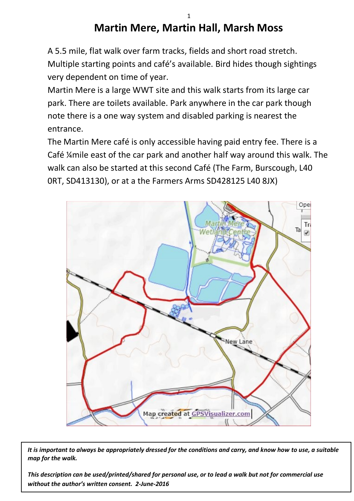## **Martin Mere, Martin Hall, Marsh Moss**

A 5.5 mile, flat walk over farm tracks, fields and short road stretch. Multiple starting points and café's available. Bird hides though sightings very dependent on time of year.

Martin Mere is a large WWT site and this walk starts from its large car park. There are toilets available. Park anywhere in the car park though note there is a one way system and disabled parking is nearest the entrance.

The Martin Mere café is only accessible having paid entry fee. There is a Café ¼mile east of the car park and another half way around this walk. The walk can also be started at this second Café (The Farm, Burscough, L40 0RT, SD413130), or at a the Farmers Arms SD428125 L40 8JX)



*It is important to always be appropriately dressed for the conditions and carry, and know how to use, a suitable map for the walk.*

*This description can be used/printed/shared for personal use, or to lead a walk but not for commercial use without the author's written consent. 2-June-2016*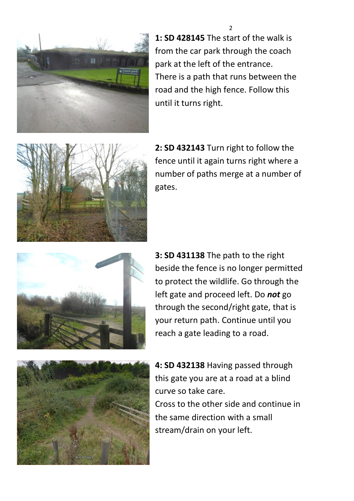

**1: SD 428145** The start of the walk is from the car park through the coach park at the left of the entrance. There is a path that runs between the road and the high fence. Follow this until it turns right.

 $\mathbf{a}$ 



**2: SD 432143** Turn right to follow the fence until it again turns right where a number of paths merge at a number of gates.



**3: SD 431138** The path to the right beside the fence is no longer permitted to protect the wildlife. Go through the left gate and proceed left. Do *not* go through the second/right gate, that is your return path. Continue until you reach a gate leading to a road.



**4: SD 432138** Having passed through this gate you are at a road at a blind curve so take care. Cross to the other side and continue in the same direction with a small stream/drain on your left.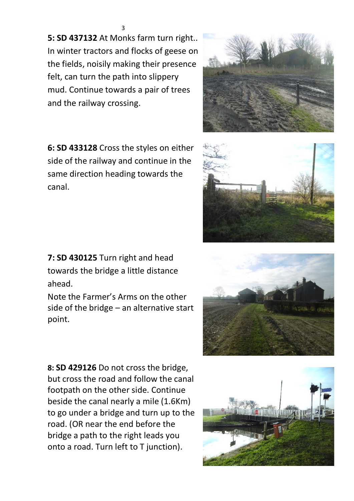**5: SD 437132** At Monks farm turn right.. In winter tractors and flocks of geese on the fields, noisily making their presence felt, can turn the path into slippery mud. Continue towards a pair of trees and the railway crossing.

**6: SD 433128** Cross the styles on either side of the railway and continue in the same direction heading towards the canal.

**7: SD 430125** Turn right and head towards the bridge a little distance ahead.

Note the Farmer's Arms on the other side of the bridge – an alternative start point.

**8: SD 429126** Do not cross the bridge, but cross the road and follow the canal footpath on the other side. Continue beside the canal nearly a mile (1.6Km) to go under a bridge and turn up to the road. (OR near the end before the bridge a path to the right leads you onto a road. Turn left to T junction).







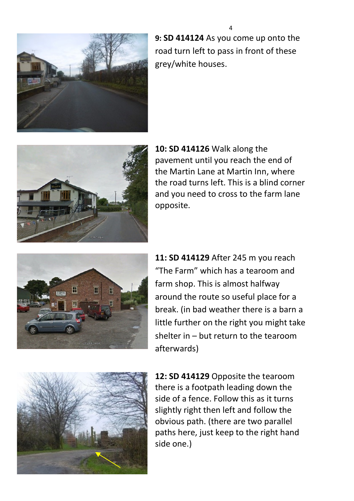

**9: SD 414124** As you come up onto the road turn left to pass in front of these grey/white houses.



**10: SD 414126** Walk along the pavement until you reach the end of the Martin Lane at Martin Inn, where the road turns left. This is a blind corner and you need to cross to the farm lane opposite.



**11: SD 414129** After 245 m you reach "The Farm" which has a tearoom and farm shop. This is almost halfway around the route so useful place for a break. (in bad weather there is a barn a little further on the right you might take shelter in – but return to the tearoom afterwards)



**12: SD 414129** Opposite the tearoom there is a footpath leading down the side of a fence. Follow this as it turns slightly right then left and follow the obvious path. (there are two parallel paths here, just keep to the right hand side one.)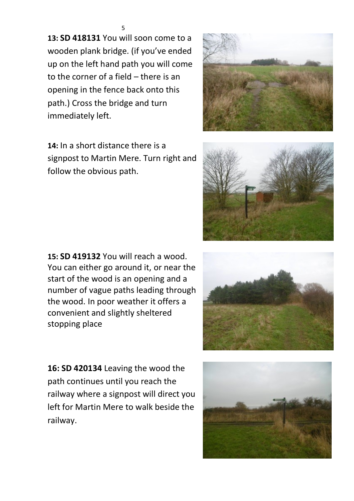**13: SD 418131** You will soon come to a wooden plank bridge. (if you've ended up on the left hand path you will come to the corner of a field – there is an opening in the fence back onto this path.) Cross the bridge and turn immediately left.

**14:** In a short distance there is a signpost to Martin Mere. Turn right and follow the obvious path.

**15: SD 419132** You will reach a wood. You can either go around it, or near the start of the wood is an opening and a number of vague paths leading through the wood. In poor weather it offers a convenient and slightly sheltered stopping place

**16: SD 420134** Leaving the wood the path continues until you reach the railway where a signpost will direct you left for Martin Mere to walk beside the railway.





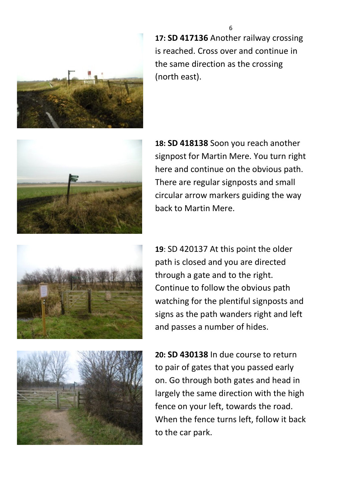

**17: SD 417136** Another railway crossing is reached. Cross over and continue in the same direction as the crossing (north east).



**18: SD 418138** Soon you reach another signpost for Martin Mere. You turn right here and continue on the obvious path. There are regular signposts and small circular arrow markers guiding the way back to Martin Mere.



**19**: SD 420137 At this point the older path is closed and you are directed through a gate and to the right. Continue to follow the obvious path watching for the plentiful signposts and signs as the path wanders right and left and passes a number of hides.



**20: SD 430138** In due course to return to pair of gates that you passed early on. Go through both gates and head in largely the same direction with the high fence on your left, towards the road. When the fence turns left, follow it back to the car park.